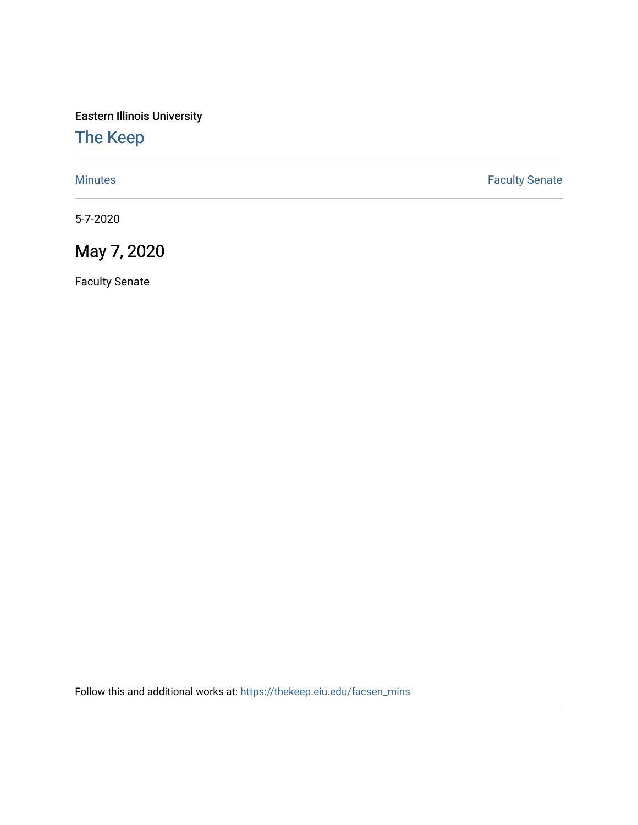Eastern Illinois University

# [The Keep](https://thekeep.eiu.edu/)

[Minutes](https://thekeep.eiu.edu/facsen_mins) **Faculty Senate** 

5-7-2020

May 7, 2020

Faculty Senate

Follow this and additional works at: [https://thekeep.eiu.edu/facsen\\_mins](https://thekeep.eiu.edu/facsen_mins?utm_source=thekeep.eiu.edu%2Ffacsen_mins%2F1138&utm_medium=PDF&utm_campaign=PDFCoverPages)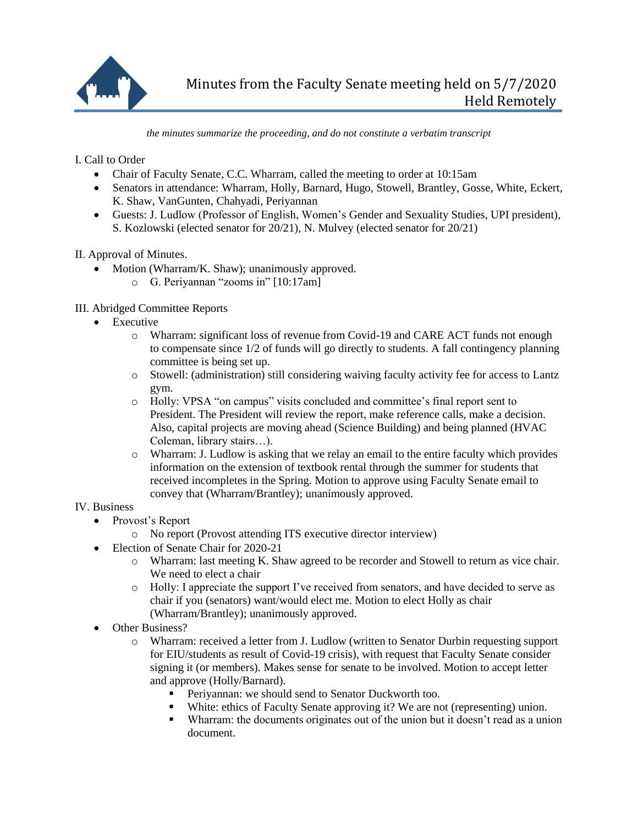

*the minutes summarize the proceeding, and do not constitute a verbatim transcript*

I. Call to Order

- Chair of Faculty Senate, C.C. Wharram, called the meeting to order at 10:15am
- Senators in attendance: Wharram, Holly, Barnard, Hugo, Stowell, Brantley, Gosse, White, Eckert, K. Shaw, VanGunten, Chahyadi, Periyannan
- Guests: J. Ludlow (Professor of English, Women's Gender and Sexuality Studies, UPI president), S. Kozlowski (elected senator for 20/21), N. Mulvey (elected senator for 20/21)

II. Approval of Minutes.

- Motion (Wharram/K. Shaw); unanimously approved.
	- o G. Periyannan "zooms in" [10:17am]

## III. Abridged Committee Reports

- Executive
	- o Wharram: significant loss of revenue from Covid-19 and CARE ACT funds not enough to compensate since 1/2 of funds will go directly to students. A fall contingency planning committee is being set up.
	- o Stowell: (administration) still considering waiving faculty activity fee for access to Lantz gym.
	- o Holly: VPSA "on campus" visits concluded and committee's final report sent to President. The President will review the report, make reference calls, make a decision. Also, capital projects are moving ahead (Science Building) and being planned (HVAC Coleman, library stairs…).
	- o Wharram: J. Ludlow is asking that we relay an email to the entire faculty which provides information on the extension of textbook rental through the summer for students that received incompletes in the Spring. Motion to approve using Faculty Senate email to convey that (Wharram/Brantley); unanimously approved.

## IV. Business

- Provost's Report
	- o No report (Provost attending ITS executive director interview)
- Election of Senate Chair for 2020-21
	- o Wharram: last meeting K. Shaw agreed to be recorder and Stowell to return as vice chair. We need to elect a chair
	- o Holly: I appreciate the support I've received from senators, and have decided to serve as chair if you (senators) want/would elect me. Motion to elect Holly as chair (Wharram/Brantley); unanimously approved.
- Other Business?
	- o Wharram: received a letter from J. Ludlow (written to Senator Durbin requesting support for EIU/students as result of Covid-19 crisis), with request that Faculty Senate consider signing it (or members). Makes sense for senate to be involved. Motion to accept letter and approve (Holly/Barnard).
		- Periyannan: we should send to Senator Duckworth too.
		- White: ethics of Faculty Senate approving it? We are not (representing) union.
		- Wharram: the documents originates out of the union but it doesn't read as a union document.